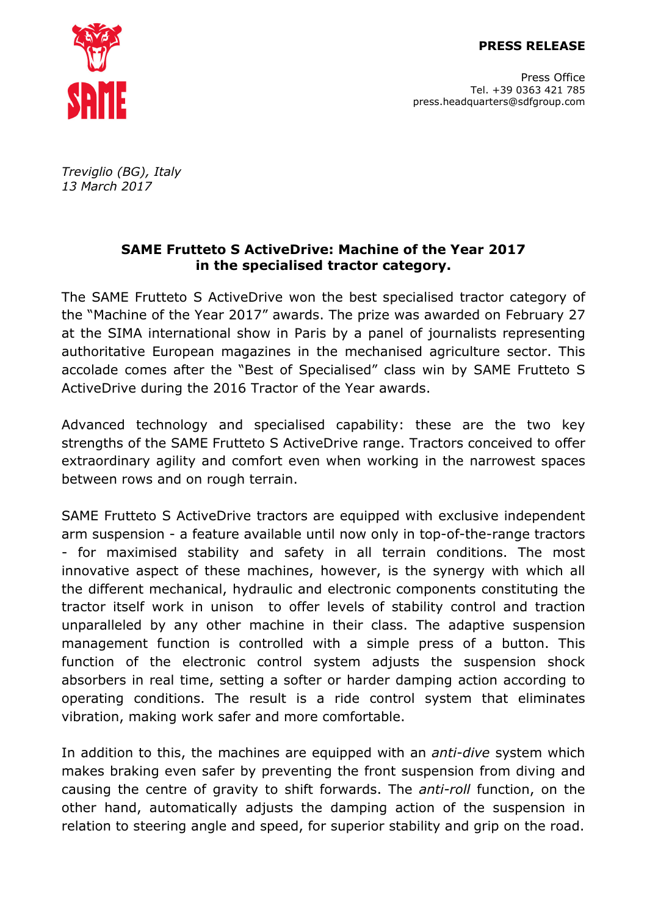

Press Office Tel. +39 0363 421 785 press.headquarters@sdfgroup.com

*Treviglio (BG), Italy 13 March 2017*

## **SAME Frutteto S ActiveDrive: Machine of the Year 2017 in the specialised tractor category.**

The SAME Frutteto S ActiveDrive won the best specialised tractor category of the "Machine of the Year 2017" awards. The prize was awarded on February 27 at the SIMA international show in Paris by a panel of journalists representing authoritative European magazines in the mechanised agriculture sector. This accolade comes after the "Best of Specialised" class win by SAME Frutteto S ActiveDrive during the 2016 Tractor of the Year awards.

Advanced technology and specialised capability: these are the two key strengths of the SAME Frutteto S ActiveDrive range. Tractors conceived to offer extraordinary agility and comfort even when working in the narrowest spaces between rows and on rough terrain.

SAME Frutteto S ActiveDrive tractors are equipped with exclusive independent arm suspension - a feature available until now only in top-of-the-range tractors - for maximised stability and safety in all terrain conditions. The most innovative aspect of these machines, however, is the synergy with which all the different mechanical, hydraulic and electronic components constituting the tractor itself work in unison to offer levels of stability control and traction unparalleled by any other machine in their class. The adaptive suspension management function is controlled with a simple press of a button. This function of the electronic control system adjusts the suspension shock absorbers in real time, setting a softer or harder damping action according to operating conditions. The result is a ride control system that eliminates vibration, making work safer and more comfortable.

In addition to this, the machines are equipped with an *anti-dive* system which makes braking even safer by preventing the front suspension from diving and causing the centre of gravity to shift forwards. The *anti-roll* function, on the other hand, automatically adjusts the damping action of the suspension in relation to steering angle and speed, for superior stability and grip on the road.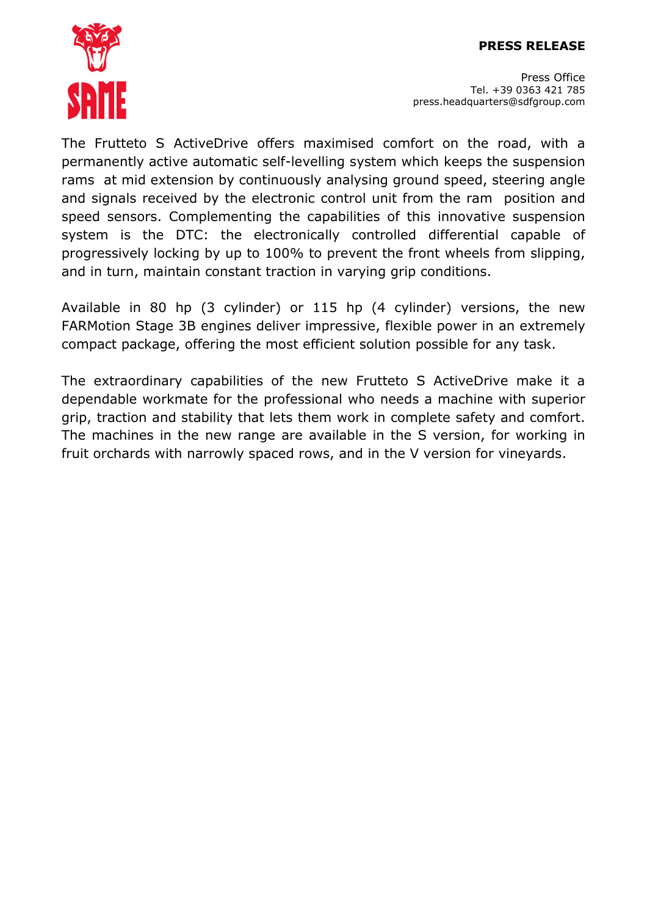## **PRESS RELEASE**



Press Office Tel. +39 0363 421 785 press.headquarters@sdfgroup.com

The Frutteto S ActiveDrive offers maximised comfort on the road, with a permanently active automatic self-levelling system which keeps the suspension rams at mid extension by continuously analysing ground speed, steering angle and signals received by the electronic control unit from the ram position and speed sensors. Complementing the capabilities of this innovative suspension system is the DTC: the electronically controlled differential capable of progressively locking by up to 100% to prevent the front wheels from slipping, and in turn, maintain constant traction in varying grip conditions.

Available in 80 hp (3 cylinder) or 115 hp (4 cylinder) versions, the new FARMotion Stage 3B engines deliver impressive, flexible power in an extremely compact package, offering the most efficient solution possible for any task.

The extraordinary capabilities of the new Frutteto S ActiveDrive make it a dependable workmate for the professional who needs a machine with superior grip, traction and stability that lets them work in complete safety and comfort. The machines in the new range are available in the S version, for working in fruit orchards with narrowly spaced rows, and in the V version for vineyards.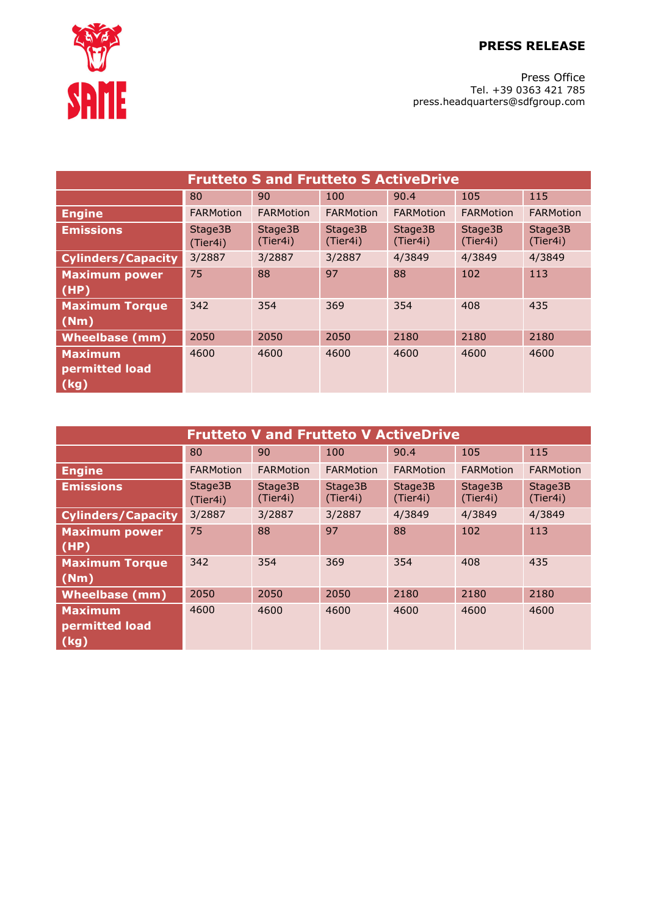**PRESS RELEASE**



Press Office Tel. +39 0363 421 785 press.headquarters@sdfgroup.com

| <b>Frutteto S and Frutteto S ActiveDrive</b> |                     |                     |                     |                     |                     |                     |  |  |  |
|----------------------------------------------|---------------------|---------------------|---------------------|---------------------|---------------------|---------------------|--|--|--|
|                                              | 80                  | 90                  | 100                 | 90.4                | 105                 | 115                 |  |  |  |
| <b>Engine</b>                                | <b>FARMotion</b>    | FARMotion           | <b>FARMotion</b>    | FARMotion           | FARMotion           | <b>FARMotion</b>    |  |  |  |
| <b>Emissions</b>                             | Stage3B<br>(Tier4i) | Stage3B<br>(Tier4i) | Stage3B<br>(Tier4i) | Stage3B<br>(Tier4i) | Stage3B<br>(Tier4i) | Stage3B<br>(Tier4i) |  |  |  |
| <b>Cylinders/Capacity</b>                    | 3/2887              | 3/2887              | 3/2887              | 4/3849              | 4/3849              | 4/3849              |  |  |  |
| <b>Maximum power</b><br>(HP)                 | 75                  | 88                  | 97                  | 88                  | 102                 | 113                 |  |  |  |
| <b>Maximum Torque</b><br>(Nm)                | 342                 | 354                 | 369                 | 354                 | 408                 | 435                 |  |  |  |
| <b>Wheelbase (mm)</b>                        | 2050                | 2050                | 2050                | 2180                | 2180                | 2180                |  |  |  |
| <b>Maximum</b><br>permitted load<br>(kg)     | 4600                | 4600                | 4600                | 4600                | 4600                | 4600                |  |  |  |

| <b>Frutteto V and Frutteto V ActiveDrive</b> |                     |                     |                     |                     |                     |                     |  |  |  |
|----------------------------------------------|---------------------|---------------------|---------------------|---------------------|---------------------|---------------------|--|--|--|
|                                              | 80                  | 90                  | 100                 | 90.4                | 105                 | 115                 |  |  |  |
| <b>Engine</b>                                | FARMotion           | <b>FARMotion</b>    | FARMotion           | <b>FARMotion</b>    | <b>FARMotion</b>    | <b>FARMotion</b>    |  |  |  |
| <b>Emissions</b>                             | Stage3B<br>(Tier4i) | Stage3B<br>(Tier4i) | Stage3B<br>(Tier4i) | Stage3B<br>(Tier4i) | Stage3B<br>(Tier4i) | Stage3B<br>(Tier4i) |  |  |  |
| <b>Cylinders/Capacity</b>                    | 3/2887              | 3/2887              | 3/2887              | 4/3849              | 4/3849              | 4/3849              |  |  |  |
| <b>Maximum power</b><br>(HP)                 | 75                  | 88                  | 97                  | 88                  | 102                 | 113                 |  |  |  |
| <b>Maximum Torque</b><br>(Mm)                | 342                 | 354                 | 369                 | 354                 | 408                 | 435                 |  |  |  |
| <b>Wheelbase (mm)</b>                        | 2050                | 2050                | 2050                | 2180                | 2180                | 2180                |  |  |  |
| <b>Maximum</b><br>permitted load<br>  (kg)   | 4600                | 4600                | 4600                | 4600                | 4600                | 4600                |  |  |  |